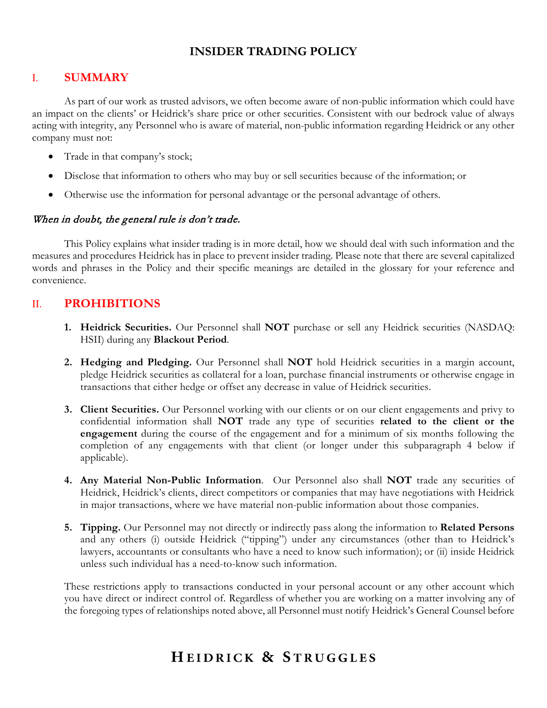## **INSIDER TRADING POLICY**

## I. **SUMMARY**

As part of our work as trusted advisors, we often become aware of non-public information which could have an impact on the clients' or Heidrick's share price or other securities. Consistent with our bedrock value of always acting with integrity, any Personnel who is aware of material, non-public information regarding Heidrick or any other company must not:

- Trade in that company's stock;
- Disclose that information to others who may buy or sell securities because of the information; or
- Otherwise use the information for personal advantage or the personal advantage of others.

#### When in doubt, the general rule is don't trade.

This Policy explains what insider trading is in more detail, how we should deal with such information and the measures and procedures Heidrick has in place to prevent insider trading. Please note that there are several capitalized words and phrases in the Policy and their specific meanings are detailed in the glossary for your reference and convenience.

## II. **PROHIBITIONS**

- **1. Heidrick Securities.** Our Personnel shall **NOT** purchase or sell any Heidrick securities (NASDAQ: HSII) during any **Blackout Period**.
- **2. Hedging and Pledging.** Our Personnel shall **NOT** hold Heidrick securities in a margin account, pledge Heidrick securities as collateral for a loan, purchase financial instruments or otherwise engage in transactions that either hedge or offset any decrease in value of Heidrick securities.
- **3. Client Securities.** Our Personnel working with our clients or on our client engagements and privy to confidential information shall **NOT** trade any type of securities **related to the client or the engagement** during the course of the engagement and for a minimum of six months following the completion of any engagements with that client (or longer under this subparagraph 4 below if applicable).
- **4. Any Material Non-Public Information**. Our Personnel also shall **NOT** trade any securities of Heidrick, Heidrick's clients, direct competitors or companies that may have negotiations with Heidrick in major transactions, where we have material non-public information about those companies.
- **5. Tipping.** Our Personnel may not directly or indirectly pass along the information to **Related Persons** and any others (i) outside Heidrick ("tipping") under any circumstances (other than to Heidrick's lawyers, accountants or consultants who have a need to know such information); or (ii) inside Heidrick unless such individual has a need-to-know such information.

These restrictions apply to transactions conducted in your personal account or any other account which you have direct or indirect control of. Regardless of whether you are working on a matter involving any of the foregoing types of relationships noted above, all Personnel must notify Heidrick's General Counsel before

## HEIDRICK & STRUGGLES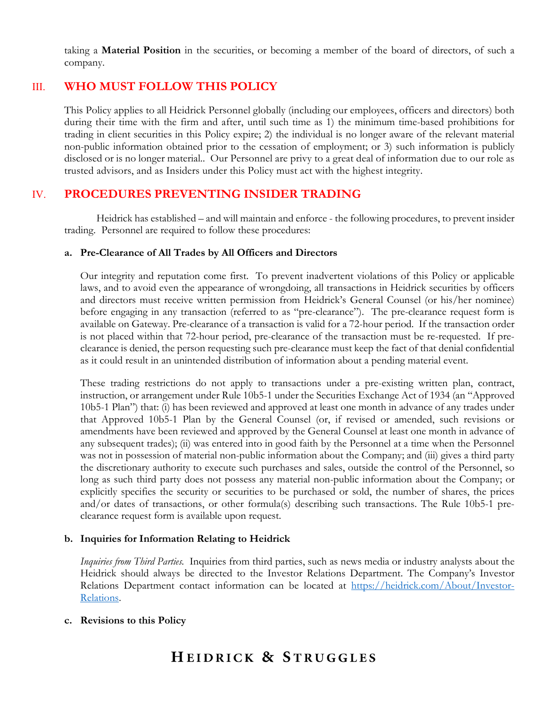taking a **Material Position** in the securities, or becoming a member of the board of directors, of such a company.

## III. **WHO MUST FOLLOW THIS POLICY**

This Policy applies to all Heidrick Personnel globally (including our employees, officers and directors) both during their time with the firm and after, until such time as 1) the minimum time-based prohibitions for trading in client securities in this Policy expire; 2) the individual is no longer aware of the relevant material non-public information obtained prior to the cessation of employment; or 3) such information is publicly disclosed or is no longer material.. Our Personnel are privy to a great deal of information due to our role as trusted advisors, and as Insiders under this Policy must act with the highest integrity.

## IV. **PROCEDURES PREVENTING INSIDER TRADING**

Heidrick has established – and will maintain and enforce - the following procedures, to prevent insider trading. Personnel are required to follow these procedures:

#### **a. Pre-Clearance of All Trades by All Officers and Directors**

Our integrity and reputation come first. To prevent inadvertent violations of this Policy or applicable laws, and to avoid even the appearance of wrongdoing, all transactions in Heidrick securities by officers and directors must receive written permission from Heidrick's General Counsel (or his/her nominee) before engaging in any transaction (referred to as "pre-clearance"). The pre-clearance request form is available on Gateway. Pre-clearance of a transaction is valid for a 72-hour period. If the transaction order is not placed within that 72-hour period, pre-clearance of the transaction must be re-requested. If preclearance is denied, the person requesting such pre-clearance must keep the fact of that denial confidential as it could result in an unintended distribution of information about a pending material event.

These trading restrictions do not apply to transactions under a pre-existing written plan, contract, instruction, or arrangement under Rule 10b5-1 under the Securities Exchange Act of 1934 (an "Approved 10b5-1 Plan") that: (i) has been reviewed and approved at least one month in advance of any trades under that Approved 10b5-1 Plan by the General Counsel (or, if revised or amended, such revisions or amendments have been reviewed and approved by the General Counsel at least one month in advance of any subsequent trades); (ii) was entered into in good faith by the Personnel at a time when the Personnel was not in possession of material non-public information about the Company; and (iii) gives a third party the discretionary authority to execute such purchases and sales, outside the control of the Personnel, so long as such third party does not possess any material non-public information about the Company; or explicitly specifies the security or securities to be purchased or sold, the number of shares, the prices and/or dates of transactions, or other formula(s) describing such transactions. The Rule 10b5-1 preclearance request form is available upon request.

#### **b. Inquiries for Information Relating to Heidrick**

*Inquiries from Third Parties.* Inquiries from third parties, such as news media or industry analysts about the Heidrick should always be directed to the Investor Relations Department. The Company's Investor Relations Department contact information can be located at [https://heidrick.com/About/Investor-](https://heidrick.com/About/Investor-Relations)[Relations.](https://heidrick.com/About/Investor-Relations)

#### **c. Revisions to this Policy**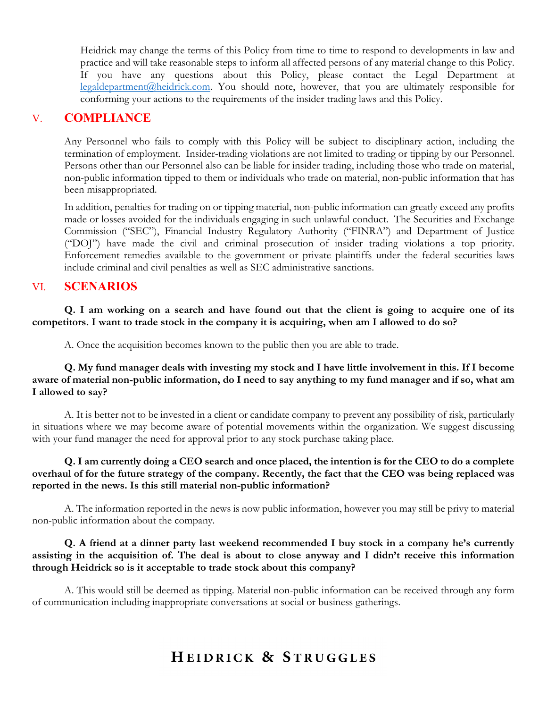Heidrick may change the terms of this Policy from time to time to respond to developments in law and practice and will take reasonable steps to inform all affected persons of any material change to this Policy. If you have any questions about this Policy, please contact the Legal Department at [legaldepartment@heidrick.com.](mailto:legaldepartment@heidrick.com) You should note, however, that you are ultimately responsible for conforming your actions to the requirements of the insider trading laws and this Policy.

## V. **COMPLIANCE**

Any Personnel who fails to comply with this Policy will be subject to disciplinary action, including the termination of employment. Insider-trading violations are not limited to trading or tipping by our Personnel. Persons other than our Personnel also can be liable for insider trading, including those who trade on material, non-public information tipped to them or individuals who trade on material, non-public information that has been misappropriated.

In addition, penalties for trading on or tipping material, non-public information can greatly exceed any profits made or losses avoided for the individuals engaging in such unlawful conduct. The Securities and Exchange Commission ("SEC"), Financial Industry Regulatory Authority ("FINRA") and Department of Justice ("DOJ") have made the civil and criminal prosecution of insider trading violations a top priority. Enforcement remedies available to the government or private plaintiffs under the federal securities laws include criminal and civil penalties as well as SEC administrative sanctions.

## VI. **SCENARIOS**

**Q. I am working on a search and have found out that the client is going to acquire one of its competitors. I want to trade stock in the company it is acquiring, when am I allowed to do so?**

A. Once the acquisition becomes known to the public then you are able to trade.

**Q. My fund manager deals with investing my stock and I have little involvement in this. If I become aware of material non-public information, do I need to say anything to my fund manager and if so, what am I allowed to say?**

A. It is better not to be invested in a client or candidate company to prevent any possibility of risk, particularly in situations where we may become aware of potential movements within the organization. We suggest discussing with your fund manager the need for approval prior to any stock purchase taking place.

#### **Q. I am currently doing a CEO search and once placed, the intention is for the CEO to do a complete overhaul of for the future strategy of the company. Recently, the fact that the CEO was being replaced was reported in the news. Is this still material non-public information?**

A. The information reported in the news is now public information, however you may still be privy to material non-public information about the company.

#### **Q. A friend at a dinner party last weekend recommended I buy stock in a company he's currently assisting in the acquisition of. The deal is about to close anyway and I didn't receive this information through Heidrick so is it acceptable to trade stock about this company?**

A. This would still be deemed as tipping. Material non-public information can be received through any form of communication including inappropriate conversations at social or business gatherings.

## HEIDRICK & STRUGGLES